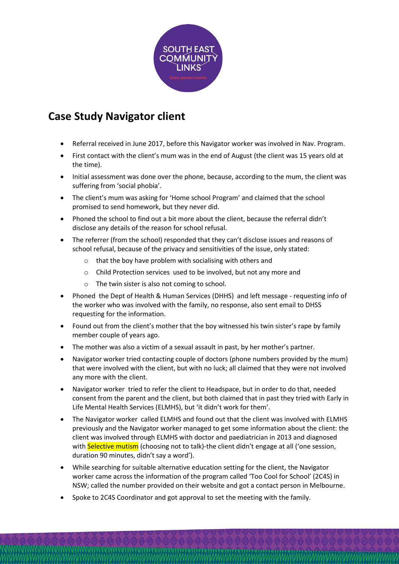

## **Case Study Navigator client**

- Referral received in June 2017, before this Navigator worker was involved in Nav. Program.
- First contact with the client's mum was in the end of August (the client was 15 years old at the time).
- Initial assessment was done over the phone, because, according to the mum, the client was suffering from 'social phobia'.
- The client's mum was asking for 'Home school Program' and claimed that the school promised to send homework, but they never did.
- Phoned the school to find out a bit more about the client, because the referral didn't disclose any details of the reason for school refusal.
- The referrer (from the school) responded that they can't disclose issues and reasons of school refusal, because of the privacy and sensitivities of the issue, only stated:
	- o that the boy have problem with socialising with others and
	- o Child Protection services used to be involved, but not any more and
	- o The twin sister is also not coming to school.
- Phoned the Dept of Health & Human Services (DHHS) and left message requesting info of the worker who was involved with the family, no response, also sent email to DHSS requesting for the information.
- Found out from the client's mother that the boy witnessed his twin sister's rape by family member couple of years ago.
- The mother was also a victim of a sexual assault in past, by her mother's partner.
- Navigator worker tried contacting couple of doctors (phone numbers provided by the mum) that were involved with the client, but with no luck; all claimed that they were not involved any more with the client.
- Navigator worker tried to refer the client to Headspace, but in order to do that, needed consent from the parent and the client, but both claimed that in past they tried with Early in Life Mental Health Services (ELMHS), but 'it didn't work for them'.
- The Navigator worker called ELMHS and found out that the client was involved with ELMHS previously and the Navigator worker managed to get some information about the client: the client was involved through ELMHS with doctor and paediatrician in 2013 and diagnosed with Selective mutism (choosing not to talk)-the client didn't engage at all ('one session, duration 90 minutes, didn't say a word').
- While searching for suitable alternative education setting for the client, the Navigator worker came across the information of the program called 'Too Cool for School' (2C4S) in NSW; called the number provided on their website and got a contact person in Melbourne.
- Spoke to 2C4S Coordinator and got approval to set the meeting with the family.